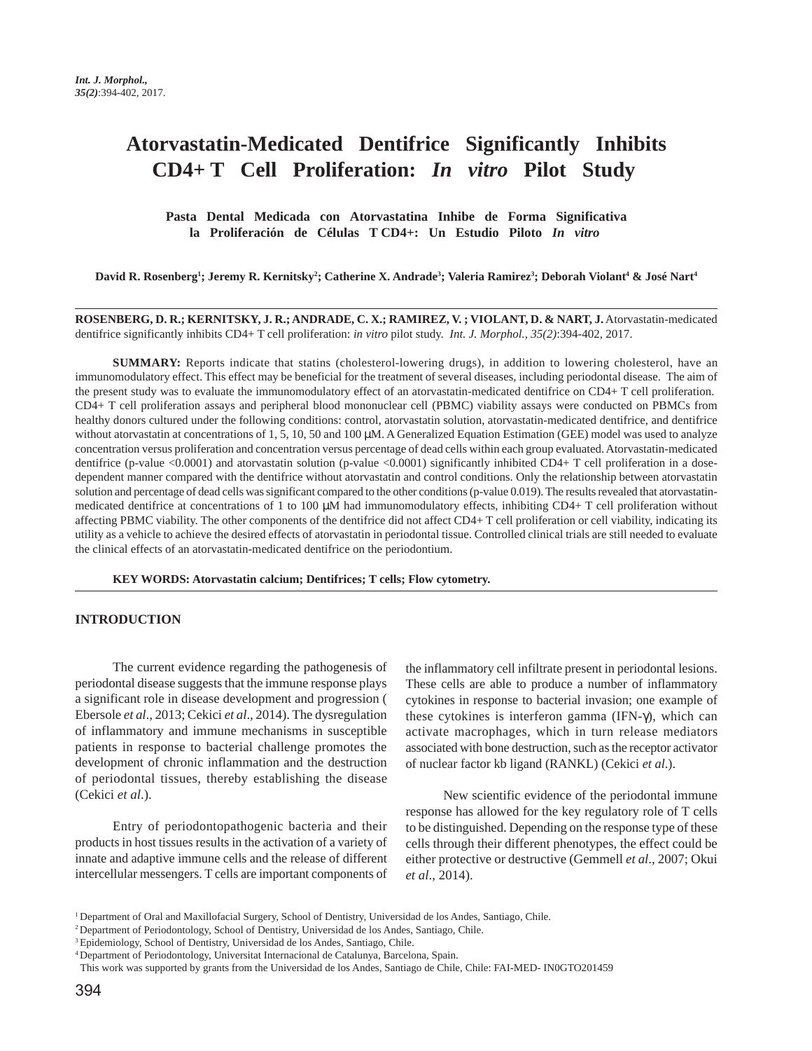# **Atorvastatin-Medicated Dentifrice Significantly Inhibits CD4+ T Cell Proliferation:** *In vitro* **Pilot Study**

**Pasta Dental Medicada con Atorvastatina Inhibe de Forma Significativa la Proliferación de Células T CD4+: Un Estudio Piloto** *In vitro*

**David R. Rosenberg1 ; Jeremy R. Kernitsky2 ; Catherine X. Andrade3 ; Valeria Ramirez3 ; Deborah Violant4 & José Nart4**

**ROSENBERG, D. R.; KERNITSKY, J. R.; ANDRADE, C. X.; RAMIREZ, V. ; VIOLANT, D. & NART, J.** Atorvastatin-medicated dentifrice significantly inhibits CD4+ T cell proliferation: *in vitro* pilot study. *Int. J. Morphol., 35(2)*:394-402, 2017.

**SUMMARY:** Reports indicate that statins (cholesterol-lowering drugs), in addition to lowering cholesterol, have an immunomodulatory effect. This effect may be beneficial for the treatment of several diseases, including periodontal disease. The aim of the present study was to evaluate the immunomodulatory effect of an atorvastatin-medicated dentifrice on CD4+ T cell proliferation. CD4+ T cell proliferation assays and peripheral blood mononuclear cell (PBMC) viability assays were conducted on PBMCs from healthy donors cultured under the following conditions: control, atorvastatin solution, atorvastatin-medicated dentifrice, and dentifrice without atorvastatin at concentrations of 1, 5, 10, 50 and 100  $\mu$ M. A Generalized Equation Estimation (GEE) model was used to analyze concentration versus proliferation and concentration versus percentage of dead cells within each group evaluated. Atorvastatin-medicated dentifrice (p-value <0.0001) and atorvastatin solution (p-value <0.0001) significantly inhibited CD4+ T cell proliferation in a dosedependent manner compared with the dentifrice without atorvastatin and control conditions. Only the relationship between atorvastatin solution and percentage of dead cells was significant compared to the other conditions (p-value 0.019). The results revealed that atorvastatinmedicated dentifrice at concentrations of 1 to 100  $\mu$ M had immunomodulatory effects, inhibiting CD4+ T cell proliferation without affecting PBMC viability. The other components of the dentifrice did not affect CD4+ T cell proliferation or cell viability, indicating its utility as a vehicle to achieve the desired effects of atorvastatin in periodontal tissue. Controlled clinical trials are still needed to evaluate the clinical effects of an atorvastatin-medicated dentifrice on the periodontium.

**KEY WORDS: Atorvastatin calcium; Dentifrices; T cells; Flow cytometry.**

#### **INTRODUCTION**

The current evidence regarding the pathogenesis of periodontal disease suggests that the immune response plays a significant role in disease development and progression ( Ebersole *et al*., 2013; Cekici *et al*., 2014). The dysregulation of inflammatory and immune mechanisms in susceptible patients in response to bacterial challenge promotes the development of chronic inflammation and the destruction of periodontal tissues, thereby establishing the disease (Cekici *et al*.).

Entry of periodontopathogenic bacteria and their products in host tissues results in the activation of a variety of innate and adaptive immune cells and the release of different intercellular messengers. T cells are important components of the inflammatory cell infiltrate present in periodontal lesions. These cells are able to produce a number of inflammatory cytokines in response to bacterial invasion; one example of these cytokines is interferon gamma (IFN-γ), which can activate macrophages, which in turn release mediators associated with bone destruction, such as the receptor activator of nuclear factor kb ligand (RANKL) (Cekici *et al*.).

New scientific evidence of the periodontal immune response has allowed for the key regulatory role of T cells to be distinguished. Depending on the response type of these cells through their different phenotypes, the effect could be either protective or destructive (Gemmell *et al*., 2007; Okui *et al*., 2014).

<sup>1</sup> Department of Oral and Maxillofacial Surgery, School of Dentistry, Universidad de los Andes, Santiago, Chile.

<sup>2</sup> Department of Periodontology, School of Dentistry, Universidad de los Andes, Santiago, Chile.

<sup>3</sup> Epidemiology, School of Dentistry, Universidad de los Andes, Santiago, Chile.

<sup>4</sup> Department of Periodontology, Universitat Internacional de Catalunya, Barcelona, Spain.

This work was supported by grants from the Universidad de los Andes, Santiago de Chile, Chile: FAI-MED- IN0GTO201459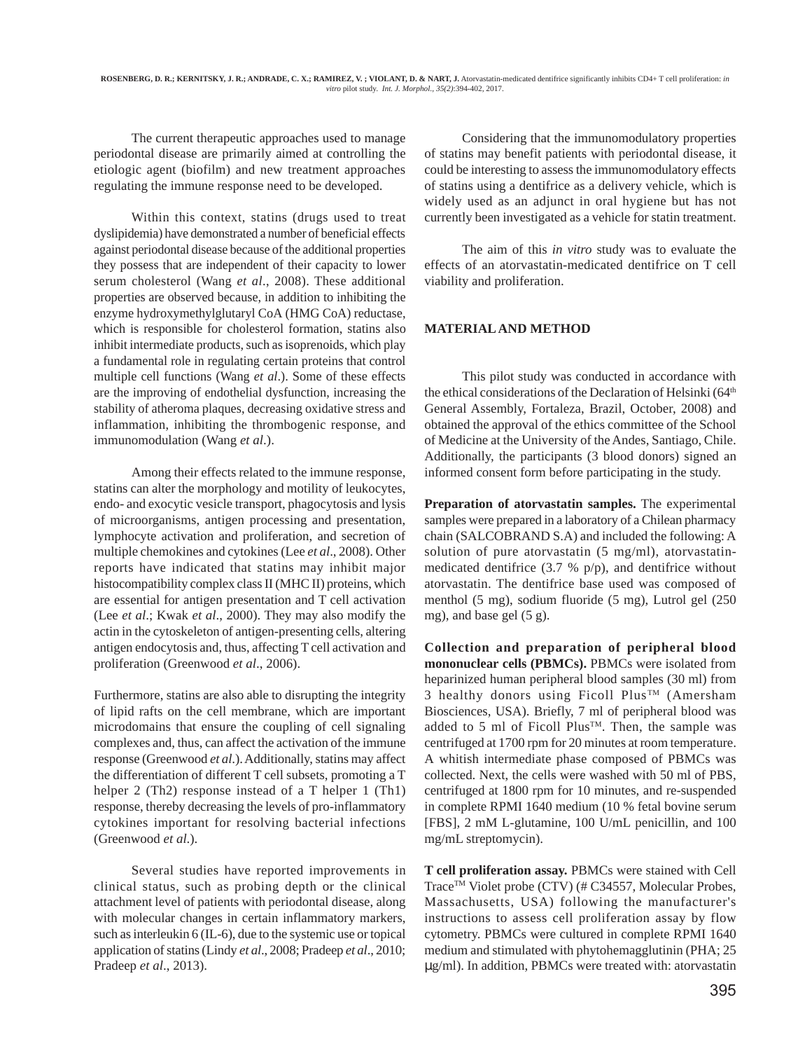The current therapeutic approaches used to manage periodontal disease are primarily aimed at controlling the etiologic agent (biofilm) and new treatment approaches regulating the immune response need to be developed.

Within this context, statins (drugs used to treat dyslipidemia) have demonstrated a number of beneficial effects against periodontal disease because of the additional properties they possess that are independent of their capacity to lower serum cholesterol (Wang *et al*., 2008). These additional properties are observed because, in addition to inhibiting the enzyme hydroxymethylglutaryl CoA (HMG CoA) reductase, which is responsible for cholesterol formation, statins also inhibit intermediate products, such as isoprenoids, which play a fundamental role in regulating certain proteins that control multiple cell functions (Wang *et al*.). Some of these effects are the improving of endothelial dysfunction, increasing the stability of atheroma plaques, decreasing oxidative stress and inflammation, inhibiting the thrombogenic response, and immunomodulation (Wang *et al*.).

Among their effects related to the immune response, statins can alter the morphology and motility of leukocytes, endo- and exocytic vesicle transport, phagocytosis and lysis of microorganisms, antigen processing and presentation, lymphocyte activation and proliferation, and secretion of multiple chemokines and cytokines (Lee *et al*., 2008). Other reports have indicated that statins may inhibit major histocompatibility complex class II (MHC II) proteins, which are essential for antigen presentation and T cell activation (Lee *et al*.; Kwak *et al*., 2000). They may also modify the actin in the cytoskeleton of antigen-presenting cells, altering antigen endocytosis and, thus, affecting T cell activation and proliferation (Greenwood *et al*., 2006).

Furthermore, statins are also able to disrupting the integrity of lipid rafts on the cell membrane, which are important microdomains that ensure the coupling of cell signaling complexes and, thus, can affect the activation of the immune response (Greenwood *et al*.). Additionally, statins may affect the differentiation of different T cell subsets, promoting a T helper 2 (Th2) response instead of a T helper 1 (Th1) response, thereby decreasing the levels of pro-inflammatory cytokines important for resolving bacterial infections (Greenwood *et al*.).

Several studies have reported improvements in clinical status, such as probing depth or the clinical attachment level of patients with periodontal disease, along with molecular changes in certain inflammatory markers, such as interleukin 6 (IL-6), due to the systemic use or topical application of statins (Lindy *et al*., 2008; Pradeep *et al*., 2010; Pradeep *et al*., 2013).

Considering that the immunomodulatory properties of statins may benefit patients with periodontal disease, it could be interesting to assess the immunomodulatory effects of statins using a dentifrice as a delivery vehicle, which is widely used as an adjunct in oral hygiene but has not currently been investigated as a vehicle for statin treatment.

The aim of this *in vitro* study was to evaluate the effects of an atorvastatin-medicated dentifrice on T cell viability and proliferation.

## **MATERIAL AND METHOD**

This pilot study was conducted in accordance with the ethical considerations of the Declaration of Helsinki (64<sup>th</sup> General Assembly, Fortaleza, Brazil, October, 2008) and obtained the approval of the ethics committee of the School of Medicine at the University of the Andes, Santiago, Chile. Additionally, the participants (3 blood donors) signed an informed consent form before participating in the study.

**Preparation of atorvastatin samples.** The experimental samples were prepared in a laboratory of a Chilean pharmacy chain (SALCOBRAND S.A) and included the following: A solution of pure atorvastatin (5 mg/ml), atorvastatinmedicated dentifrice (3.7 % p/p), and dentifrice without atorvastatin. The dentifrice base used was composed of menthol (5 mg), sodium fluoride (5 mg), Lutrol gel (250 mg), and base gel (5 g).

**Collection and preparation of peripheral blood mononuclear cells (PBMCs).** PBMCs were isolated from heparinized human peripheral blood samples (30 ml) from 3 healthy donors using Ficoll Plus™ (Amersham Biosciences, USA). Briefly, 7 ml of peripheral blood was added to 5 ml of Ficoll Plus<sup>TM</sup>. Then, the sample was centrifuged at 1700 rpm for 20 minutes at room temperature. A whitish intermediate phase composed of PBMCs was collected. Next, the cells were washed with 50 ml of PBS, centrifuged at 1800 rpm for 10 minutes, and re-suspended in complete RPMI 1640 medium (10 % fetal bovine serum [FBS], 2 mM L-glutamine, 100 U/mL penicillin, and 100 mg/mL streptomycin).

**T cell proliferation assay.** PBMCs were stained with Cell Trace<sup>™</sup> Violet probe (CTV) (# C34557, Molecular Probes, Massachusetts, USA) following the manufacturer's instructions to assess cell proliferation assay by flow cytometry. PBMCs were cultured in complete RPMI 1640 medium and stimulated with phytohemagglutinin (PHA; 25 µg/ml). In addition, PBMCs were treated with: atorvastatin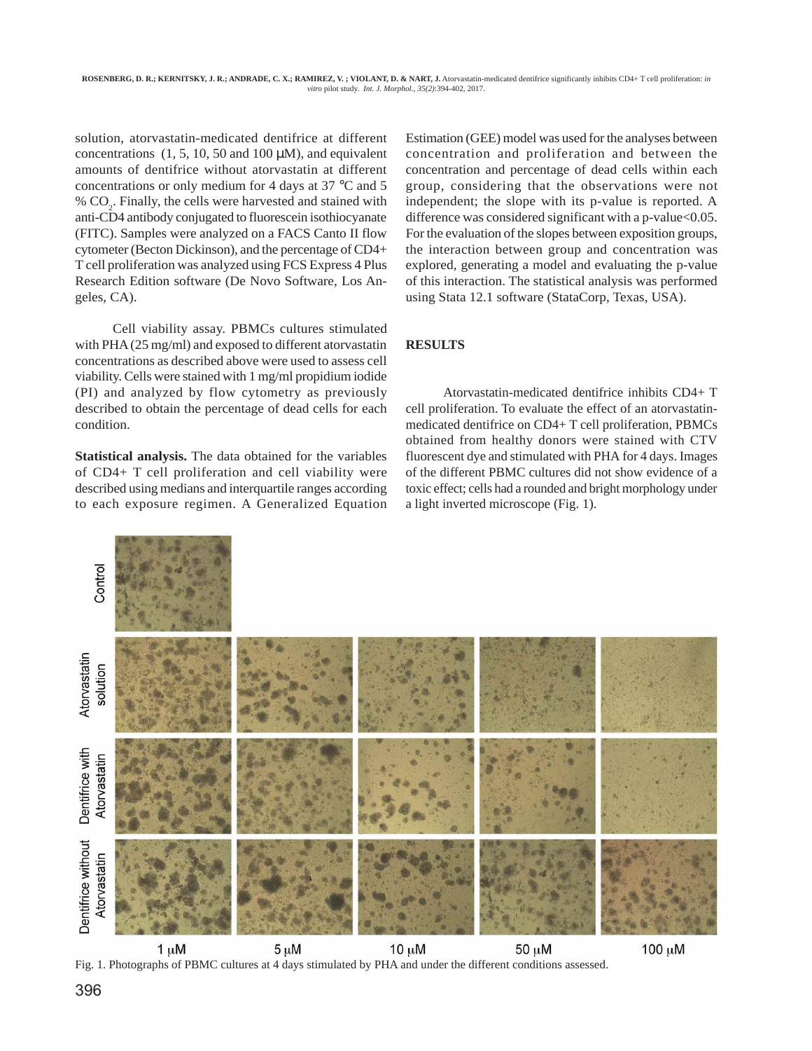solution, atorvastatin-medicated dentifrice at different concentrations  $(1, 5, 10, 50, \text{ and } 100 \mu M)$ , and equivalent amounts of dentifrice without atorvastatin at different concentrations or only medium for 4 days at 37 °C and 5 % CO<sub>2</sub>. Finally, the cells were harvested and stained with anti-CD4 antibody conjugated to fluorescein isothiocyanate (FITC). Samples were analyzed on a FACS Canto II flow cytometer (Becton Dickinson), and the percentage of CD4+ T cell proliferation was analyzed using FCS Express 4 Plus Research Edition software (De Novo Software, Los Angeles, CA).

Cell viability assay. PBMCs cultures stimulated with PHA (25 mg/ml) and exposed to different atorvastatin concentrations as described above were used to assess cell viability. Cells were stained with 1 mg/ml propidium iodide (PI) and analyzed by flow cytometry as previously described to obtain the percentage of dead cells for each condition.

**Statistical analysis.** The data obtained for the variables of CD4+ T cell proliferation and cell viability were described using medians and interquartile ranges according to each exposure regimen. A Generalized Equation Estimation (GEE) model was used for the analyses between concentration and proliferation and between the concentration and percentage of dead cells within each group, considering that the observations were not independent; the slope with its p-value is reported. A difference was considered significant with a p-value<0.05. For the evaluation of the slopes between exposition groups, the interaction between group and concentration was explored, generating a model and evaluating the p-value of this interaction. The statistical analysis was performed using Stata 12.1 software (StataCorp, Texas, USA).

# **RESULTS**

Atorvastatin-medicated dentifrice inhibits CD4+ T cell proliferation. To evaluate the effect of an atorvastatinmedicated dentifrice on CD4+ T cell proliferation, PBMCs obtained from healthy donors were stained with CTV fluorescent dye and stimulated with PHA for 4 days. Images of the different PBMC cultures did not show evidence of a toxic effect; cells had a rounded and bright morphology under a light inverted microscope (Fig. 1).



 $1 \mu M$  $5 \mu M$  $10 \mu M$ 50 µM Fig. 1. Photographs of PBMC cultures at 4 days stimulated by PHA and under the different conditions assessed.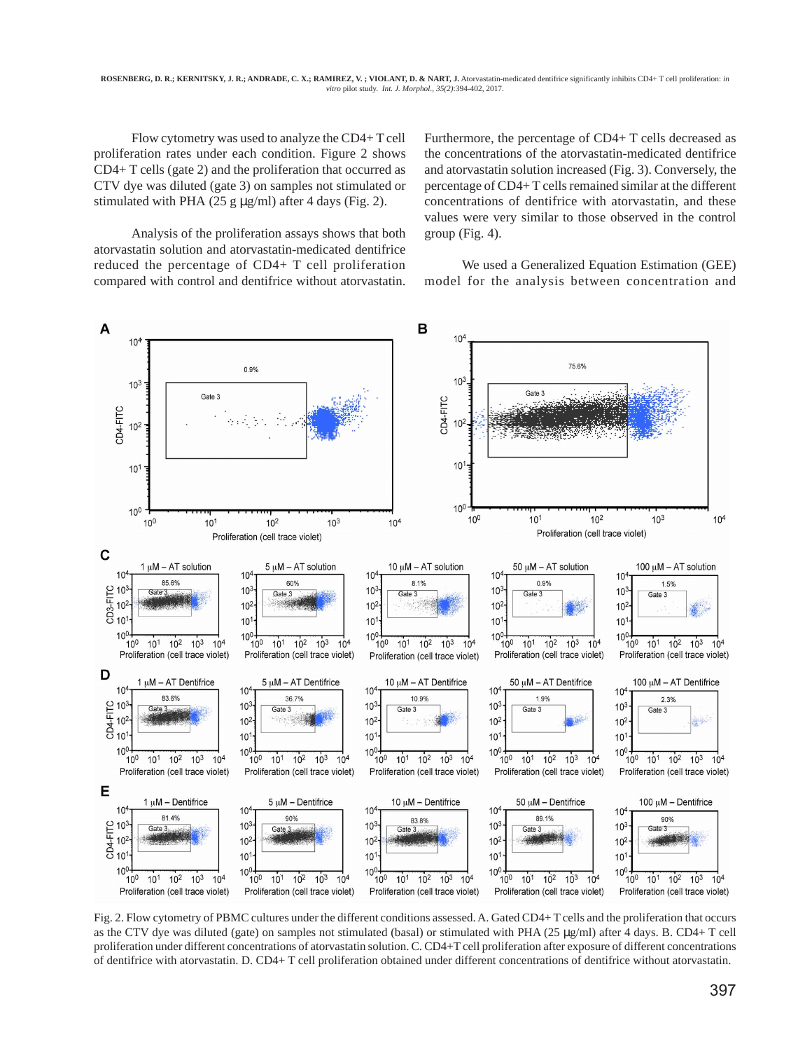Flow cytometry was used to analyze the CD4+ T cell proliferation rates under each condition. Figure 2 shows CD4+ T cells (gate 2) and the proliferation that occurred as CTV dye was diluted (gate 3) on samples not stimulated or stimulated with PHA (25 g  $\mu$ g/ml) after 4 days (Fig. 2).

Analysis of the proliferation assays shows that both atorvastatin solution and atorvastatin-medicated dentifrice reduced the percentage of CD4+ T cell proliferation compared with control and dentifrice without atorvastatin. Furthermore, the percentage of CD4+ T cells decreased as the concentrations of the atorvastatin-medicated dentifrice and atorvastatin solution increased (Fig. 3). Conversely, the percentage of CD4+ T cells remained similar at the different concentrations of dentifrice with atorvastatin, and these values were very similar to those observed in the control group (Fig. 4).

We used a Generalized Equation Estimation (GEE) model for the analysis between concentration and



Fig. 2. Flow cytometry of PBMC cultures under the different conditions assessed. A. Gated CD4+ T cells and the proliferation that occurs as the CTV dye was diluted (gate) on samples not stimulated (basal) or stimulated with PHA (25 µg/ml) after 4 days. B. CD4+ T cell proliferation under different concentrations of atorvastatin solution. C. CD4+T cell proliferation after exposure of different concentrations of dentifrice with atorvastatin. D. CD4+ T cell proliferation obtained under different concentrations of dentifrice without atorvastatin.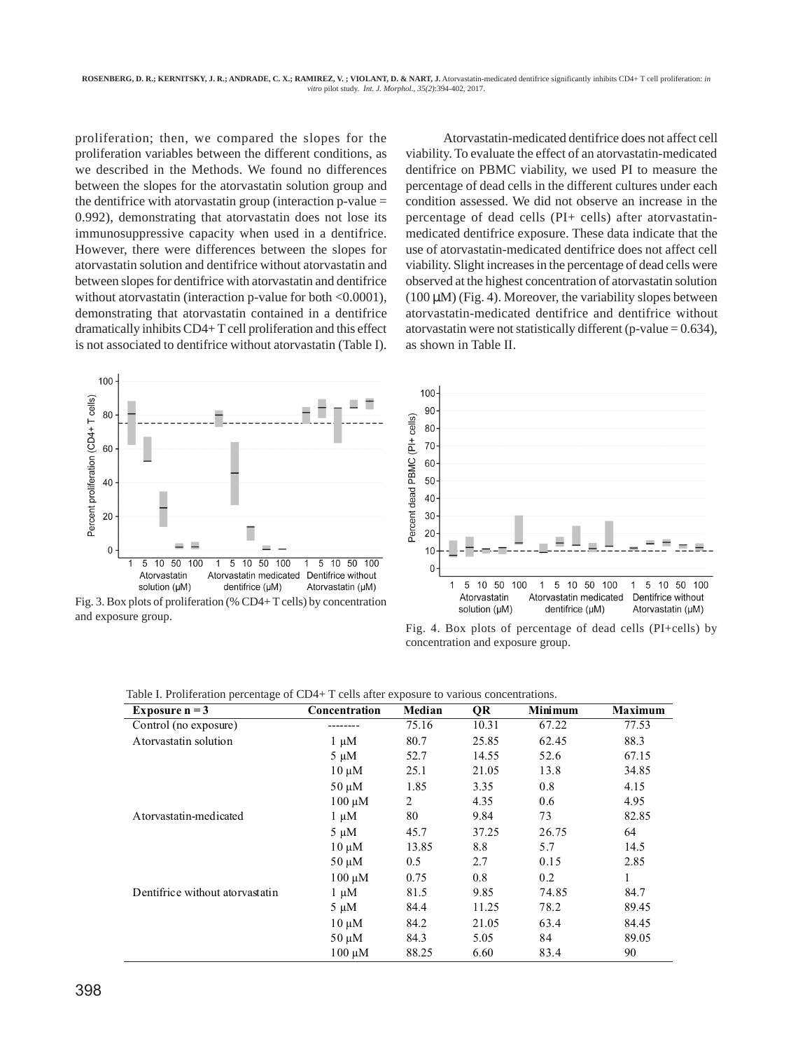proliferation; then, we compared the slopes for the proliferation variables between the different conditions, as we described in the Methods. We found no differences between the slopes for the atorvastatin solution group and the dentifrice with atorvastatin group (interaction  $p$ -value  $=$ 0.992), demonstrating that atorvastatin does not lose its immunosuppressive capacity when used in a dentifrice. However, there were differences between the slopes for atorvastatin solution and dentifrice without atorvastatin and between slopes for dentifrice with atorvastatin and dentifrice without atorvastatin (interaction p-value for both <0.0001), demonstrating that atorvastatin contained in a dentifrice dramatically inhibits CD4+ T cell proliferation and this effect is not associated to dentifrice without atorvastatin (Table I).



Fig. 3. Box plots of proliferation (% CD4+ T cells) by concentration and exposure group.

Atorvastatin-medicated dentifrice does not affect cell viability. To evaluate the effect of an atorvastatin-medicated dentifrice on PBMC viability, we used PI to measure the percentage of dead cells in the different cultures under each condition assessed. We did not observe an increase in the percentage of dead cells (PI+ cells) after atorvastatinmedicated dentifrice exposure. These data indicate that the use of atorvastatin-medicated dentifrice does not affect cell viability. Slight increases in the percentage of dead cells were observed at the highest concentration of atorvastatin solution  $(100 \mu M)$  (Fig. 4). Moreover, the variability slopes between atorvastatin-medicated dentifrice and dentifrice without atorvastatin were not statistically different (p-value  $= 0.634$ ), as shown in Table II.



Fig. 4. Box plots of percentage of dead cells (PI+cells) by concentration and exposure group.

| Table I. Proliferation percentage of CD4+ T cells after exposure to various concentrations. |  |  |  |  |  |
|---------------------------------------------------------------------------------------------|--|--|--|--|--|
|---------------------------------------------------------------------------------------------|--|--|--|--|--|

| Exposure $n = 3$                | Concentration | Median | QR    | <b>Minimum</b> | <b>Maximum</b> |
|---------------------------------|---------------|--------|-------|----------------|----------------|
| Control (no exposure)           |               | 75.16  | 10.31 | 67.22          | 77.53          |
| Atorvastatin solution           | $1 \mu M$     | 80.7   | 25.85 | 62.45          | 88.3           |
|                                 | $5 \mu M$     | 52.7   | 14.55 | 52.6           | 67.15          |
|                                 | $10 \mu M$    | 25.1   | 21.05 | 13.8           | 34.85          |
|                                 | $50 \mu M$    | 1.85   | 3.35  | 0.8            | 4.15           |
|                                 | $100 \mu M$   | 2      | 4.35  | 0.6            | 4.95           |
| Atorvastatin-medicated          | $1 \mu M$     | 80     | 9.84  | 73             | 82.85          |
|                                 | $5 \mu M$     | 45.7   | 37.25 | 26.75          | 64             |
|                                 | $10 \mu M$    | 13.85  | 8.8   | 5.7            | 14.5           |
|                                 | $50 \mu M$    | 0.5    | 2.7   | 0.15           | 2.85           |
|                                 | $100 \mu M$   | 0.75   | 0.8   | 0.2            | $\mathbf{1}$   |
| Dentifrice without atorvastatin | $1 \mu M$     | 81.5   | 9.85  | 74.85          | 84.7           |
|                                 | $5 \mu M$     | 84.4   | 11.25 | 78.2           | 89.45          |
|                                 | $10 \mu M$    | 84.2   | 21.05 | 63.4           | 84.45          |
|                                 | $50 \mu M$    | 84.3   | 5.05  | 84             | 89.05          |
|                                 | $100 \mu M$   | 88.25  | 6.60  | 83.4           | 90             |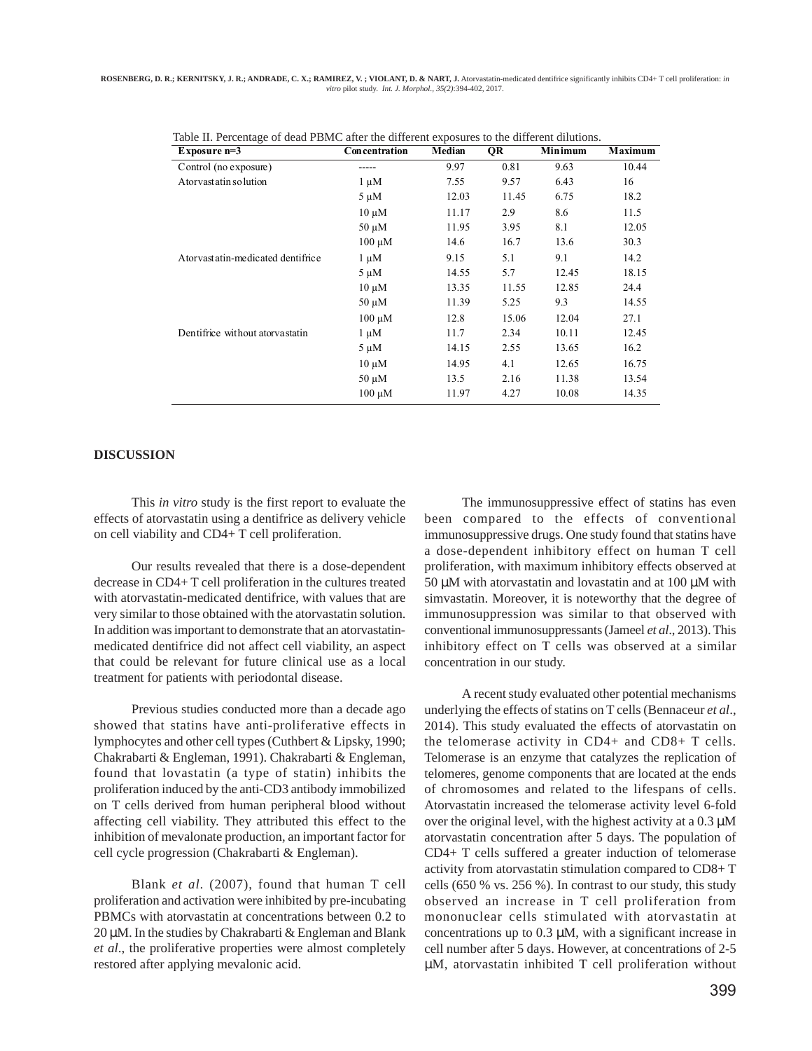**ROSENBERG, D. R.; KERNITSKY, J. R.; ANDRADE, C. X.; RAMIREZ, V. ; VIOLANT, D. & NART, J.** Atorvastatin-medicated dentifrice significantly inhibits CD4+ T cell proliferation: *in vitro* pilot study. *Int. J. Morphol., 35(2)*:394-402, 2017.

| Exposure $n=3$                    | Concentration | Median | QR    | Minimum | Maximum |
|-----------------------------------|---------------|--------|-------|---------|---------|
| Control (no exposure)             |               | 9.97   | 0.81  | 9.63    | 10.44   |
| Atorvastatin solution             | $1 \mu M$     | 7.55   | 9.57  | 6.43    | 16      |
|                                   | $5 \mu M$     | 12.03  | 11.45 | 6.75    | 18.2    |
|                                   | $10 \mu M$    | 11.17  | 2.9   | 8.6     | 11.5    |
|                                   | $50 \mu M$    | 11.95  | 3.95  | 8.1     | 12.05   |
|                                   | $100 \mu M$   | 14.6   | 16.7  | 13.6    | 30.3    |
| Atorvastatin-medicated dentifrice | $1 \mu M$     | 9.15   | 5.1   | 9.1     | 14.2    |
|                                   | $5 \mu M$     | 14.55  | 5.7   | 12.45   | 18.15   |
|                                   | $10 \mu M$    | 13.35  | 11.55 | 12.85   | 24.4    |
|                                   | $50 \mu M$    | 11.39  | 5.25  | 9.3     | 14.55   |
|                                   | $100 \mu M$   | 12.8   | 15.06 | 12.04   | 27.1    |
| Dentifrice without atorvastatin   | $1 \mu M$     | 11.7   | 2.34  | 10.11   | 12.45   |
|                                   | $5 \mu M$     | 14.15  | 2.55  | 13.65   | 16.2    |
|                                   | $10 \mu M$    | 14.95  | 4.1   | 12.65   | 16.75   |
|                                   | $50 \mu M$    | 13.5   | 2.16  | 11.38   | 13.54   |
|                                   | $100 \mu M$   | 11.97  | 4.27  | 10.08   | 14.35   |

Table II. Percentage of dead PBMC after the different exposures to the different dilutions.

#### **DISCUSSION**

This *in vitro* study is the first report to evaluate the effects of atorvastatin using a dentifrice as delivery vehicle on cell viability and CD4+ T cell proliferation.

Our results revealed that there is a dose-dependent decrease in CD4+ T cell proliferation in the cultures treated with atorvastatin-medicated dentifrice, with values that are very similar to those obtained with the atorvastatin solution. In addition was important to demonstrate that an atorvastatinmedicated dentifrice did not affect cell viability, an aspect that could be relevant for future clinical use as a local treatment for patients with periodontal disease.

Previous studies conducted more than a decade ago showed that statins have anti-proliferative effects in lymphocytes and other cell types (Cuthbert & Lipsky, 1990; Chakrabarti & Engleman, 1991). Chakrabarti & Engleman, found that lovastatin (a type of statin) inhibits the proliferation induced by the anti-CD3 antibody immobilized on T cells derived from human peripheral blood without affecting cell viability. They attributed this effect to the inhibition of mevalonate production, an important factor for cell cycle progression (Chakrabarti & Engleman).

Blank *et al*. (2007), found that human T cell proliferation and activation were inhibited by pre-incubating PBMCs with atorvastatin at concentrations between 0.2 to 20 µM. In the studies by Chakrabarti & Engleman and Blank *et al*., the proliferative properties were almost completely restored after applying mevalonic acid.

The immunosuppressive effect of statins has even been compared to the effects of conventional immunosuppressive drugs. One study found that statins have a dose-dependent inhibitory effect on human T cell proliferation, with maximum inhibitory effects observed at 50 µM with atorvastatin and lovastatin and at 100 µM with simvastatin. Moreover, it is noteworthy that the degree of immunosuppression was similar to that observed with conventional immunosuppressants (Jameel *et al*., 2013). This inhibitory effect on T cells was observed at a similar concentration in our study.

A recent study evaluated other potential mechanisms underlying the effects of statins on T cells (Bennaceur *et al*., 2014). This study evaluated the effects of atorvastatin on the telomerase activity in CD4+ and CD8+ T cells. Telomerase is an enzyme that catalyzes the replication of telomeres, genome components that are located at the ends of chromosomes and related to the lifespans of cells. Atorvastatin increased the telomerase activity level 6-fold over the original level, with the highest activity at a  $0.3 \mu M$ atorvastatin concentration after 5 days. The population of CD4+ T cells suffered a greater induction of telomerase activity from atorvastatin stimulation compared to CD8+ T cells (650 % vs. 256 %). In contrast to our study, this study observed an increase in T cell proliferation from mononuclear cells stimulated with atorvastatin at concentrations up to 0.3 µM, with a significant increase in cell number after 5 days. However, at concentrations of 2-5 µM, atorvastatin inhibited T cell proliferation without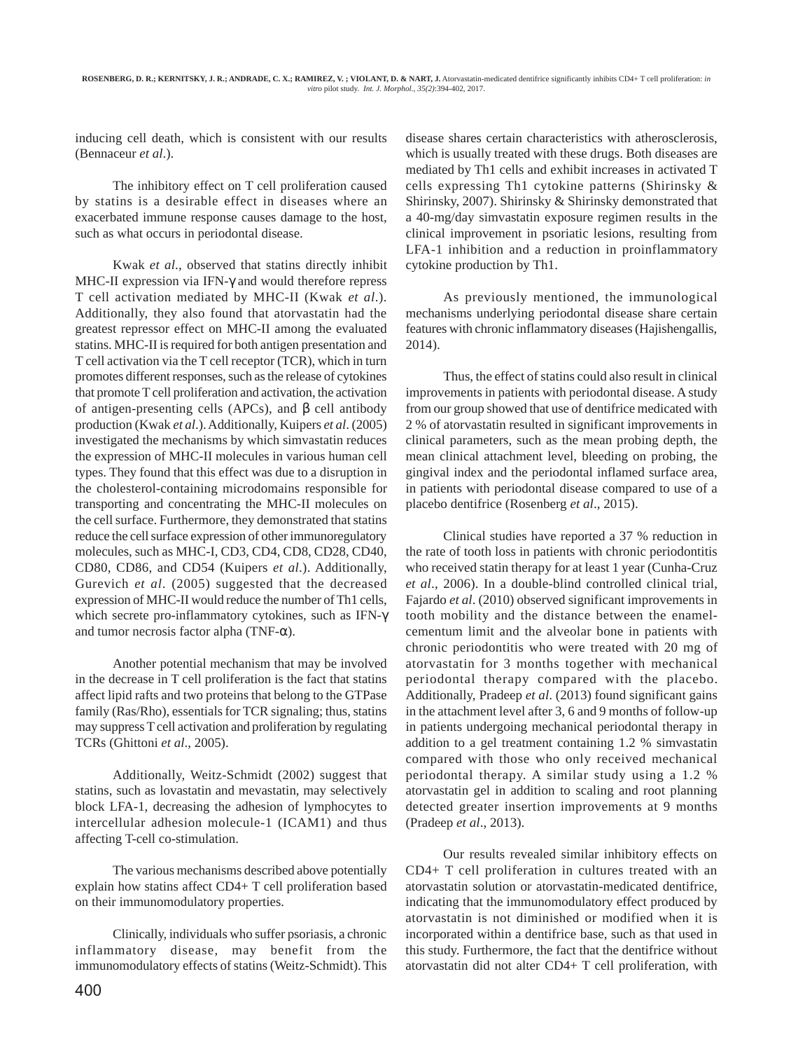inducing cell death, which is consistent with our results (Bennaceur *et al*.).

The inhibitory effect on T cell proliferation caused by statins is a desirable effect in diseases where an exacerbated immune response causes damage to the host, such as what occurs in periodontal disease.

Kwak *et al*., observed that statins directly inhibit MHC-II expression via IFN-γ and would therefore repress T cell activation mediated by MHC-II (Kwak *et al*.). Additionally, they also found that atorvastatin had the greatest repressor effect on MHC-II among the evaluated statins. MHC-II is required for both antigen presentation and T cell activation via the T cell receptor (TCR), which in turn promotes different responses, such as the release of cytokines that promote T cell proliferation and activation, the activation of antigen-presenting cells (APCs), and β cell antibody production (Kwak *et al*.). Additionally, Kuipers *et al*. (2005) investigated the mechanisms by which simvastatin reduces the expression of MHC-II molecules in various human cell types. They found that this effect was due to a disruption in the cholesterol-containing microdomains responsible for transporting and concentrating the MHC-II molecules on the cell surface. Furthermore, they demonstrated that statins reduce the cell surface expression of other immunoregulatory molecules, such as MHC-I, CD3, CD4, CD8, CD28, CD40, CD80, CD86, and CD54 (Kuipers *et al*.). Additionally, Gurevich *et al*. (2005) suggested that the decreased expression of MHC-II would reduce the number of Th1 cells, which secrete pro-inflammatory cytokines, such as IFN-γ and tumor necrosis factor alpha (TNF- $\alpha$ ).

Another potential mechanism that may be involved in the decrease in T cell proliferation is the fact that statins affect lipid rafts and two proteins that belong to the GTPase family (Ras/Rho), essentials for TCR signaling; thus, statins may suppress T cell activation and proliferation by regulating TCRs (Ghittoni *et al*., 2005).

Additionally, Weitz-Schmidt (2002) suggest that statins, such as lovastatin and mevastatin, may selectively block LFA-1, decreasing the adhesion of lymphocytes to intercellular adhesion molecule-1 (ICAM1) and thus affecting T-cell co-stimulation.

The various mechanisms described above potentially explain how statins affect CD4+ T cell proliferation based on their immunomodulatory properties.

Clinically, individuals who suffer psoriasis, a chronic inflammatory disease, may benefit from the immunomodulatory effects of statins (Weitz-Schmidt). This disease shares certain characteristics with atherosclerosis, which is usually treated with these drugs. Both diseases are mediated by Th1 cells and exhibit increases in activated T cells expressing Th1 cytokine patterns (Shirinsky & Shirinsky, 2007). Shirinsky & Shirinsky demonstrated that a 40-mg/day simvastatin exposure regimen results in the clinical improvement in psoriatic lesions, resulting from LFA-1 inhibition and a reduction in proinflammatory cytokine production by Th1.

As previously mentioned, the immunological mechanisms underlying periodontal disease share certain features with chronic inflammatory diseases (Hajishengallis, 2014).

Thus, the effect of statins could also result in clinical improvements in patients with periodontal disease. A study from our group showed that use of dentifrice medicated with 2 % of atorvastatin resulted in significant improvements in clinical parameters, such as the mean probing depth, the mean clinical attachment level, bleeding on probing, the gingival index and the periodontal inflamed surface area, in patients with periodontal disease compared to use of a placebo dentifrice (Rosenberg *et al*., 2015).

Clinical studies have reported a 37 % reduction in the rate of tooth loss in patients with chronic periodontitis who received statin therapy for at least 1 year (Cunha-Cruz *et al*., 2006). In a double-blind controlled clinical trial, Fajardo *et al*. (2010) observed significant improvements in tooth mobility and the distance between the enamelcementum limit and the alveolar bone in patients with chronic periodontitis who were treated with 20 mg of atorvastatin for 3 months together with mechanical periodontal therapy compared with the placebo. Additionally, Pradeep *et al*. (2013) found significant gains in the attachment level after 3, 6 and 9 months of follow-up in patients undergoing mechanical periodontal therapy in addition to a gel treatment containing 1.2 % simvastatin compared with those who only received mechanical periodontal therapy. A similar study using a 1.2 % atorvastatin gel in addition to scaling and root planning detected greater insertion improvements at 9 months (Pradeep *et al*., 2013).

Our results revealed similar inhibitory effects on CD4+ T cell proliferation in cultures treated with an atorvastatin solution or atorvastatin-medicated dentifrice, indicating that the immunomodulatory effect produced by atorvastatin is not diminished or modified when it is incorporated within a dentifrice base, such as that used in this study. Furthermore, the fact that the dentifrice without atorvastatin did not alter CD4+ T cell proliferation, with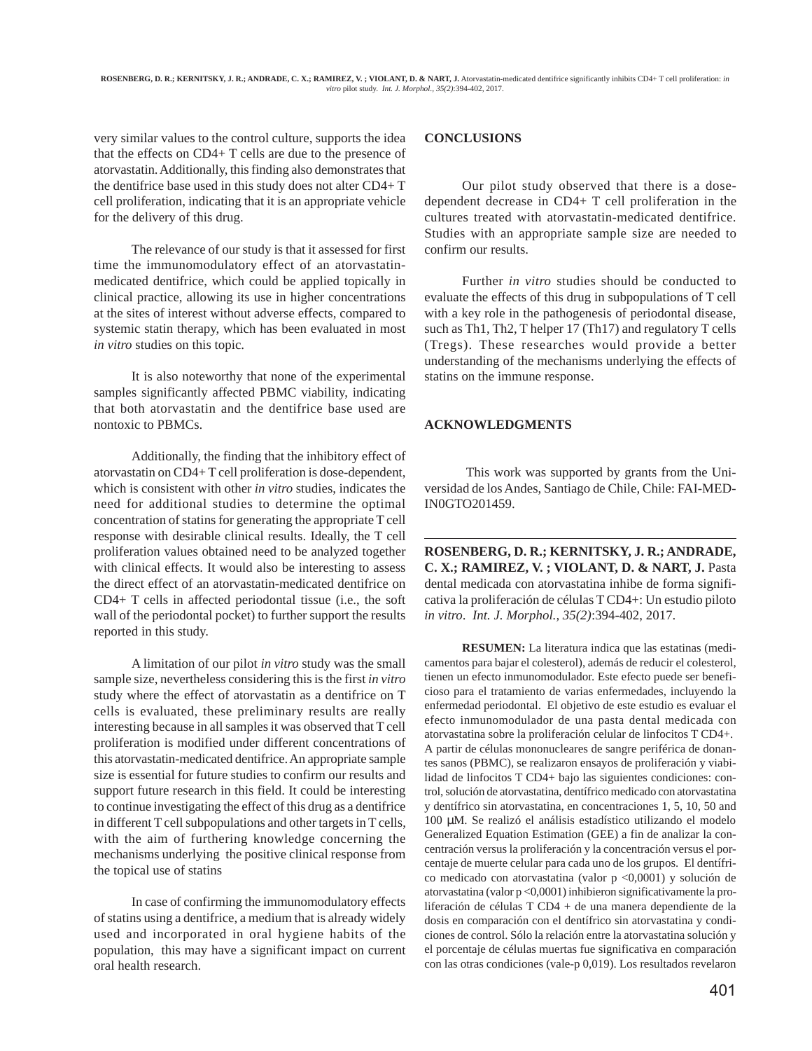very similar values to the control culture, supports the idea that the effects on CD4+ T cells are due to the presence of atorvastatin. Additionally, this finding also demonstrates that the dentifrice base used in this study does not alter CD4+ T cell proliferation, indicating that it is an appropriate vehicle for the delivery of this drug.

The relevance of our study is that it assessed for first time the immunomodulatory effect of an atorvastatinmedicated dentifrice, which could be applied topically in clinical practice, allowing its use in higher concentrations at the sites of interest without adverse effects, compared to systemic statin therapy, which has been evaluated in most *in vitro* studies on this topic.

It is also noteworthy that none of the experimental samples significantly affected PBMC viability, indicating that both atorvastatin and the dentifrice base used are nontoxic to PBMCs.

Additionally, the finding that the inhibitory effect of atorvastatin on CD4+ T cell proliferation is dose-dependent, which is consistent with other *in vitro* studies, indicates the need for additional studies to determine the optimal concentration of statins for generating the appropriate T cell response with desirable clinical results. Ideally, the T cell proliferation values obtained need to be analyzed together with clinical effects. It would also be interesting to assess the direct effect of an atorvastatin-medicated dentifrice on CD4+ T cells in affected periodontal tissue (i.e., the soft wall of the periodontal pocket) to further support the results reported in this study.

A limitation of our pilot *in vitro* study was the small sample size, nevertheless considering this is the first *in vitro* study where the effect of atorvastatin as a dentifrice on T cells is evaluated, these preliminary results are really interesting because in all samples it was observed that T cell proliferation is modified under different concentrations of this atorvastatin-medicated dentifrice. An appropriate sample size is essential for future studies to confirm our results and support future research in this field. It could be interesting to continue investigating the effect of this drug as a dentifrice in different T cell subpopulations and other targets in T cells, with the aim of furthering knowledge concerning the mechanisms underlying the positive clinical response from the topical use of statins

In case of confirming the immunomodulatory effects of statins using a dentifrice, a medium that is already widely used and incorporated in oral hygiene habits of the population, this may have a significant impact on current oral health research.

## **CONCLUSIONS**

Our pilot study observed that there is a dosedependent decrease in CD4+ T cell proliferation in the cultures treated with atorvastatin-medicated dentifrice. Studies with an appropriate sample size are needed to confirm our results.

Further *in vitro* studies should be conducted to evaluate the effects of this drug in subpopulations of T cell with a key role in the pathogenesis of periodontal disease, such as Th1, Th2, T helper 17 (Th17) and regulatory T cells (Tregs). These researches would provide a better understanding of the mechanisms underlying the effects of statins on the immune response.

### **ACKNOWLEDGMENTS**

 This work was supported by grants from the Universidad de los Andes, Santiago de Chile, Chile: FAI-MED-IN0GTO201459.

**ROSENBERG, D. R.; KERNITSKY, J. R.; ANDRADE, C. X.; RAMIREZ, V. ; VIOLANT, D. & NART, J.** Pasta dental medicada con atorvastatina inhibe de forma significativa la proliferación de células T CD4+: Un estudio piloto *in vitro*. *Int. J. Morphol., 35(2)*:394-402, 2017.

**RESUMEN:** La literatura indica que las estatinas (medicamentos para bajar el colesterol), además de reducir el colesterol, tienen un efecto inmunomodulador. Este efecto puede ser beneficioso para el tratamiento de varias enfermedades, incluyendo la enfermedad periodontal. El objetivo de este estudio es evaluar el efecto inmunomodulador de una pasta dental medicada con atorvastatina sobre la proliferación celular de linfocitos T CD4+. A partir de células mononucleares de sangre periférica de donantes sanos (PBMC), se realizaron ensayos de proliferación y viabilidad de linfocitos T CD4+ bajo las siguientes condiciones: control, solución de atorvastatina, dentífrico medicado con atorvastatina y dentífrico sin atorvastatina, en concentraciones 1, 5, 10, 50 and 100 µM. Se realizó el análisis estadístico utilizando el modelo Generalized Equation Estimation (GEE) a fin de analizar la concentración versus la proliferación y la concentración versus el porcentaje de muerte celular para cada uno de los grupos. El dentífrico medicado con atorvastatina (valor p <0,0001) y solución de atorvastatina (valor p <0,0001) inhibieron significativamente la proliferación de células T CD4 + de una manera dependiente de la dosis en comparación con el dentífrico sin atorvastatina y condiciones de control. Sólo la relación entre la atorvastatina solución y el porcentaje de células muertas fue significativa en comparación con las otras condiciones (vale-p 0,019). Los resultados revelaron